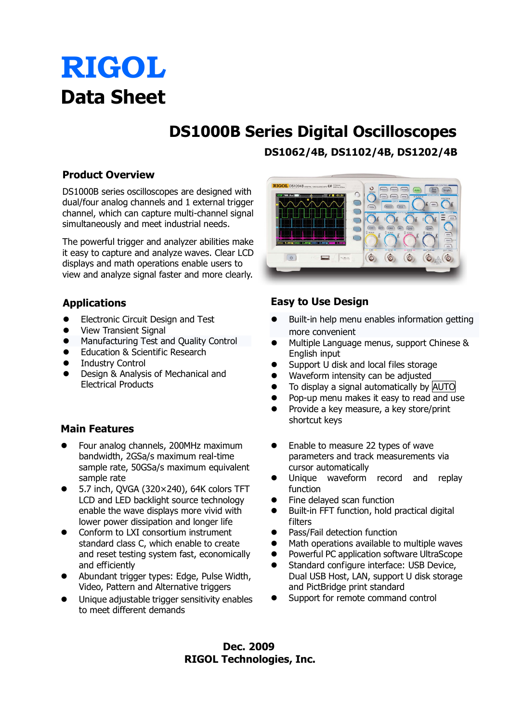# **RIGOL Data Sheet**

# **DS1000B Series Digital Oscilloscopes**

**Product Overview**

DS1000B series oscilloscopes are designed with dual/four analog channels and 1 external trigger channel, which can capture multi-channel signal simultaneously and meet industrial needs.

The powerful trigger and analyzer abilities make it easy to capture and analyze waves. Clear LCD displays and math operations enable users to view and analyze signal faster and more clearly.

### **Applications**

- **•** Electronic Circuit Design and Test
- View Transient Signal
- **•** Manufacturing Test and Quality Control
- Education & Scientific Research
- **•** Industry Control
- Design & Analysis of Mechanical and Electrical Products

### **Main Features**

- Four analog channels, 200MHz maximum bandwidth, 2GSa/s maximum real-time sample rate, 50GSa/s maximum equivalent sample rate
- 5.7 inch, QVGA (320× 240), 64K colors TFT LCD and LED backlight source technology enable the wave displays more vivid with lower power dissipation and longer life
- Conform to LXI consortium instrument standard class C, which enable to create and reset testing system fast, economically and efficiently
- Abundant trigger types: Edge, Pulse Width, Video, Pattern and Alternative triggers
- Unique adjustable trigger sensitivity enables to meet different demands

**DS1062/4B, DS1102/4B, DS1202/4B**



#### **Easy to Use Design**

- Built-in help menu enables information getting more convenient
- Multiple Language menus, support Chinese & English input
- Support U disk and local files storage
- Waveform intensity can be adjusted
- To display a signal automatically by AUTO
- Pop-up menu makes it easy to read and use
- Provide a key measure, a key store/print shortcut keys
- Enable to measure 22 types of wave parameters and track measurements via cursor automatically
- Unique waveform record and replay function
- Fine delayed scan function
- Built-in FFT function, hold practical digital filters
- Pass/Fail detection function
- Math operations available to multiple waves
- Powerful PC application software UltraScope
- Standard configure interface: USB Device, Dual USB Host, LAN, support U disk storage and PictBridge print standard
- Support for remote command control

**Dec. 2009 RIGOL Technologies, Inc.**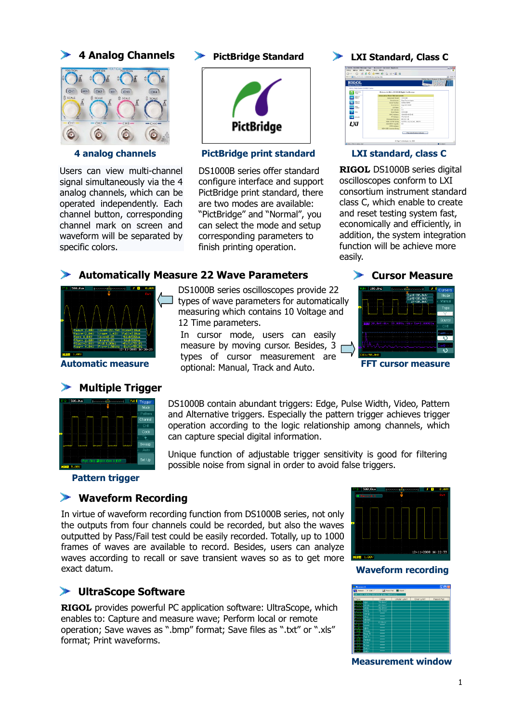#### **4 Analog Channels**



Users can view multi-channel signal simultaneously via the 4 analog channels, which can be operated independently. Each channel button, corresponding channel mark on screen and waveform will be separated by specific colors.



#### **4 analog channels PictBridge print standard LXI standard, class C**

DS1000B series offer standard configure interface and support PictBridge print standard, there are two modes are available: "PictBridge" and "Normal", you can select the mode and setup corresponding parameters to finish printing operation.

#### **PictBridge Standard LXI Standard, Class C**



**RIGOL** DS1000B series digital oscilloscopes conform to LXI consortium instrument standard class C, which enable to create and reset testing system fast, economically and efficiently, in addition, the system integration function will be achieve more easily.

#### **Automatically Measure 22 Wave Parameters**



#### ⋗ **Multiple Trigger**



**Pattern trigger**

#### **Waveform Recording**

**UltraScope Software**

format; Print waveforms.

In virtue of waveform recording function from DS1000B series, not only the outputs from four channels could be recorded, but also the waves outputted by Pass/Fail test could be easily recorded. Totally, up to 1000 frames of waves are available to record. Besides, users can analyze waves according to recall or save transient waves so as to get more exact datum.

**RIGOL** provides powerful PC application software: UltraScope, which enables to: Capture and measure wave; Perform local or remote operation; Save waves as ".bmp" format; Save files as ".txt" or ".xls"



#### **Waveform recording**



**Measurement window**

1

DS1000B series oscilloscopes provide 22  $\Box$  types of wave parameters for automatically measuring which contains 10 Voltage and

**Automatic measure FFT cursor measure** optional: Manual, Track and Auto. 12 Time parameters. In cursor mode, users can easily measure by moving cursor. Besides, 3 r types of cursor measurement are

can capture special digital information.

DS1000B contain abundant triggers: Edge, Pulse Width, Video, Pattern and Alternative triggers. Especially the pattern trigger achieves trigger operation according to the logic relationship among channels, which

Unique function of adjustable trigger sensitivity is good for filtering

possible noise from signal in order to avoid false triggers.

|                 |                             | vursurs |
|-----------------|-----------------------------|---------|
|                 | CurA: 80.0mU<br>CurB+89.0mV | Mode    |
|                 | AV 89.8mU                   | Manual  |
| т               |                             | Type    |
|                 |                             |         |
| FF              |                             | Source  |
|                 |                             | CH1     |
|                 |                             | CurA    |
|                 |                             |         |
| ٠               |                             |         |
|                 |                             |         |
| $CH1 = 50.0 mU$ |                             |         |

**Cursor Measure**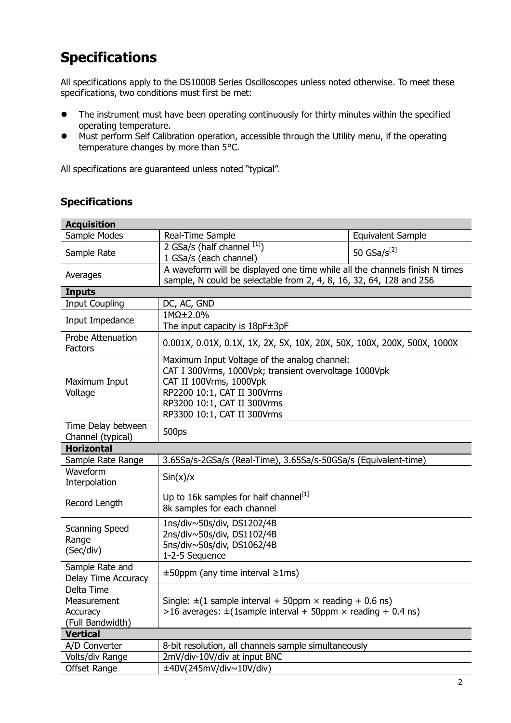# **Specifications**

All specifications apply to the DS1000B Series Oscilloscopes unless noted otherwise. To meet these specifications, two conditions must first be met:

- The instrument must have been operating continuously for thirty minutes within the specified operating temperature.
- Must perform Self Calibration operation, accessible through the Utility menu, if the operating temperature changes by more than 5°C.

All specifications are guaranteed unless noted "typical".

| <b>Acquisition</b>                                        |                                                                                                                                                                                                                               |                          |  |  |
|-----------------------------------------------------------|-------------------------------------------------------------------------------------------------------------------------------------------------------------------------------------------------------------------------------|--------------------------|--|--|
| Sample Modes                                              | Real-Time Sample                                                                                                                                                                                                              | <b>Equivalent Sample</b> |  |  |
| Sample Rate                                               | 2 GSa/s (half channel $^{[1]}$ )<br>1 GSa/s (each channel)                                                                                                                                                                    | 50 $GSa/s^{[2]}$         |  |  |
| Averages                                                  | A waveform will be displayed one time while all the channels finish N times<br>sample, N could be selectable from 2, 4, 8, 16, 32, 64, 128 and 256                                                                            |                          |  |  |
| <b>Inputs</b>                                             |                                                                                                                                                                                                                               |                          |  |  |
| <b>Input Coupling</b>                                     | DC, AC, GND                                                                                                                                                                                                                   |                          |  |  |
| Input Impedance                                           | $1M\Omega \pm 2.0\%$<br>The input capacity is 18pF±3pF                                                                                                                                                                        |                          |  |  |
| <b>Probe Attenuation</b><br>Factors                       | 0.001X, 0.01X, 0.1X, 1X, 2X, 5X, 10X, 20X, 50X, 100X, 200X, 500X, 1000X                                                                                                                                                       |                          |  |  |
| Maximum Input<br>Voltage                                  | Maximum Input Voltage of the analog channel:<br>CAT I 300Vrms, 1000Vpk; transient overvoltage 1000Vpk<br>CAT II 100Vrms, 1000Vpk<br>RP2200 10:1, CAT II 300Vrms<br>RP3200 10:1, CAT II 300Vrms<br>RP3300 10:1, CAT II 300Vrms |                          |  |  |
| Time Delay between<br>Channel (typical)                   | 500ps                                                                                                                                                                                                                         |                          |  |  |
| <b>Horizontal</b>                                         |                                                                                                                                                                                                                               |                          |  |  |
| Sample Rate Range                                         | 3.65Sa/s-2GSa/s (Real-Time), 3.65Sa/s-50GSa/s (Equivalent-time)                                                                                                                                                               |                          |  |  |
| Waveform<br>Interpolation                                 | $\sin(x)/x$                                                                                                                                                                                                                   |                          |  |  |
| Record Length                                             | Up to 16k samples for half channel[1]<br>8k samples for each channel                                                                                                                                                          |                          |  |  |
| <b>Scanning Speed</b><br>Range<br>(Sec/div)               | 1ns/div~50s/div, DS1202/4B<br>2ns/div~50s/div, DS1102/4B<br>5ns/div~50s/div, DS1062/4B<br>1-2-5 Sequence                                                                                                                      |                          |  |  |
| Sample Rate and<br>Delay Time Accuracy                    | $\pm 50$ ppm (any time interval $\geq 1$ ms)                                                                                                                                                                                  |                          |  |  |
| Delta Time<br>Measurement<br>Accuracy<br>(Full Bandwidth) | Single: $\pm$ (1 sample interval + 50ppm $\times$ reading + 0.6 ns)<br>$>$ 16 averages: $\pm$ (1sample interval + 50ppm $\times$ reading + 0.4 ns)                                                                            |                          |  |  |
| <b>Vertical</b>                                           |                                                                                                                                                                                                                               |                          |  |  |
| A/D Converter                                             | 8-bit resolution, all channels sample simultaneously                                                                                                                                                                          |                          |  |  |
| Volts/div Range                                           | 2mV/div-10V/div at input BNC                                                                                                                                                                                                  |                          |  |  |
| <b>Offset Range</b>                                       | ±40V(245mV/div~10V/div)                                                                                                                                                                                                       |                          |  |  |

### **Specifications**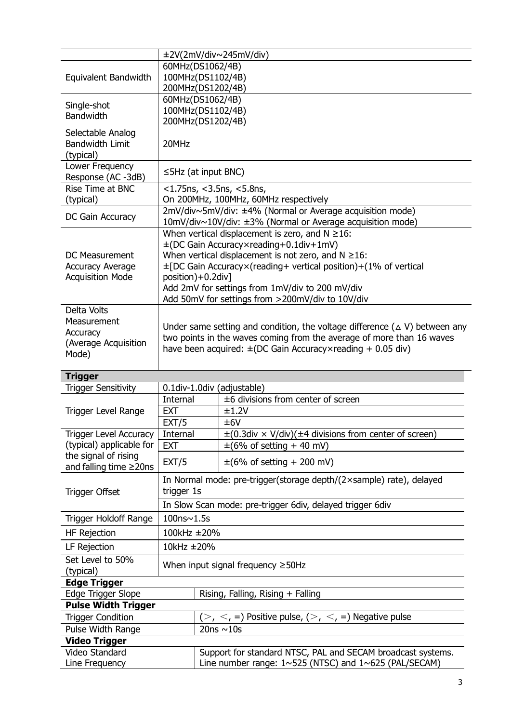|                                                      | ±2V(2mV/div~245mV/div)                                                                                                  |                                                                                                                                    |  |  |
|------------------------------------------------------|-------------------------------------------------------------------------------------------------------------------------|------------------------------------------------------------------------------------------------------------------------------------|--|--|
|                                                      | 60MHz(DS1062/4B)                                                                                                        |                                                                                                                                    |  |  |
| Equivalent Bandwidth                                 | 100MHz(DS1102/4B)                                                                                                       |                                                                                                                                    |  |  |
|                                                      | 200MHz(DS1202/4B)                                                                                                       |                                                                                                                                    |  |  |
| Single-shot                                          | 60MHz(DS1062/4B)<br>100MHz(DS1102/4B)                                                                                   |                                                                                                                                    |  |  |
| <b>Bandwidth</b>                                     | 200MHz(DS1202/4B)                                                                                                       |                                                                                                                                    |  |  |
| Selectable Analog                                    |                                                                                                                         |                                                                                                                                    |  |  |
| <b>Bandwidth Limit</b>                               | 20MHz                                                                                                                   |                                                                                                                                    |  |  |
| (typical)                                            |                                                                                                                         |                                                                                                                                    |  |  |
| Lower Frequency                                      | $\leq$ 5Hz (at input BNC)                                                                                               |                                                                                                                                    |  |  |
| Response (AC -3dB)                                   |                                                                                                                         |                                                                                                                                    |  |  |
| Rise Time at BNC                                     | $<$ 1.75ns, $<$ 3.5ns, $<$ 5.8ns,                                                                                       |                                                                                                                                    |  |  |
| (typical)                                            | On 200MHz, 100MHz, 60MHz respectively                                                                                   |                                                                                                                                    |  |  |
| DC Gain Accuracy                                     | 2mV/div~5mV/div: ±4% (Normal or Average acquisition mode)<br>10mV/div~10V/div: ±3% (Normal or Average acquisition mode) |                                                                                                                                    |  |  |
|                                                      |                                                                                                                         | When vertical displacement is zero, and $N \ge 16$ :                                                                               |  |  |
|                                                      |                                                                                                                         | ±(DC Gain Accuracy×reading+0.1div+1mV)                                                                                             |  |  |
| <b>DC Measurement</b>                                |                                                                                                                         | When vertical displacement is not zero, and $N \ge 16$ :                                                                           |  |  |
| <b>Accuracy Average</b>                              |                                                                                                                         | ±[DC Gain Accuracy×(reading+ vertical position)+(1% of vertical                                                                    |  |  |
| <b>Acquisition Mode</b>                              | position)+0.2div]                                                                                                       |                                                                                                                                    |  |  |
|                                                      |                                                                                                                         | Add 2mV for settings from 1mV/div to 200 mV/div                                                                                    |  |  |
|                                                      |                                                                                                                         | Add 50mV for settings from >200mV/div to 10V/div                                                                                   |  |  |
| Delta Volts                                          |                                                                                                                         |                                                                                                                                    |  |  |
| Measurement                                          | Under same setting and condition, the voltage difference ( $\triangle$ V) between any                                   |                                                                                                                                    |  |  |
| Accuracy<br>(Average Acquisition                     |                                                                                                                         | two points in the waves coming from the average of more than 16 waves                                                              |  |  |
| Mode)                                                |                                                                                                                         | have been acquired: $\pm$ (DC Gain Accuracy×reading + 0.05 div)                                                                    |  |  |
|                                                      |                                                                                                                         |                                                                                                                                    |  |  |
| <b>Trigger</b>                                       |                                                                                                                         |                                                                                                                                    |  |  |
| Trigger Sensitivity                                  |                                                                                                                         |                                                                                                                                    |  |  |
|                                                      | 0.1div-1.0div (adjustable)                                                                                              |                                                                                                                                    |  |  |
|                                                      | Internal                                                                                                                | ±6 divisions from center of screen                                                                                                 |  |  |
| <b>Trigger Level Range</b>                           | <b>EXT</b>                                                                                                              | ±1.2V                                                                                                                              |  |  |
|                                                      | EXT/5                                                                                                                   | ±6V                                                                                                                                |  |  |
| Trigger Level Accuracy                               | Internal                                                                                                                | $\pm (0.3$ div × V/div)( $\pm 4$ divisions from center of screen)                                                                  |  |  |
| (typical) applicable for                             | <b>EXT</b>                                                                                                              | $\pm$ (6% of setting + 40 mV)                                                                                                      |  |  |
| the signal of rising<br>and falling time $\geq$ 20ns | EXT/5                                                                                                                   | $\pm (6\% \text{ of setting} + 200 \text{ mV})$                                                                                    |  |  |
|                                                      |                                                                                                                         | In Normal mode: pre-trigger(storage depth/(2xsample) rate), delayed                                                                |  |  |
|                                                      | trigger 1s                                                                                                              |                                                                                                                                    |  |  |
| <b>Trigger Offset</b>                                |                                                                                                                         |                                                                                                                                    |  |  |
| Trigger Holdoff Range                                | 100ns~1.5s                                                                                                              | In Slow Scan mode: pre-trigger 6div, delayed trigger 6div                                                                          |  |  |
| HF Rejection                                         | 100kHz ±20%                                                                                                             |                                                                                                                                    |  |  |
| LF Rejection                                         | 10kHz ±20%                                                                                                              |                                                                                                                                    |  |  |
| Set Level to 50%                                     |                                                                                                                         |                                                                                                                                    |  |  |
| (typical)                                            |                                                                                                                         | When input signal frequency $\geq$ 50Hz                                                                                            |  |  |
| <b>Edge Trigger</b>                                  |                                                                                                                         |                                                                                                                                    |  |  |
| Edge Trigger Slope                                   |                                                                                                                         | Rising, Falling, Rising + Falling                                                                                                  |  |  |
| <b>Pulse Width Trigger</b>                           |                                                                                                                         |                                                                                                                                    |  |  |
| <b>Trigger Condition</b>                             |                                                                                                                         | $(>, <, =)$ Positive pulse, $(>, <, =)$ Negative pulse                                                                             |  |  |
| Pulse Width Range                                    |                                                                                                                         | 20ns $\sim$ 10s                                                                                                                    |  |  |
| <b>Video Trigger</b>                                 |                                                                                                                         |                                                                                                                                    |  |  |
| Video Standard<br>Line Frequency                     |                                                                                                                         | Support for standard NTSC, PAL and SECAM broadcast systems.<br>Line number range: $1 \sim 525$ (NTSC) and $1 \sim 625$ (PAL/SECAM) |  |  |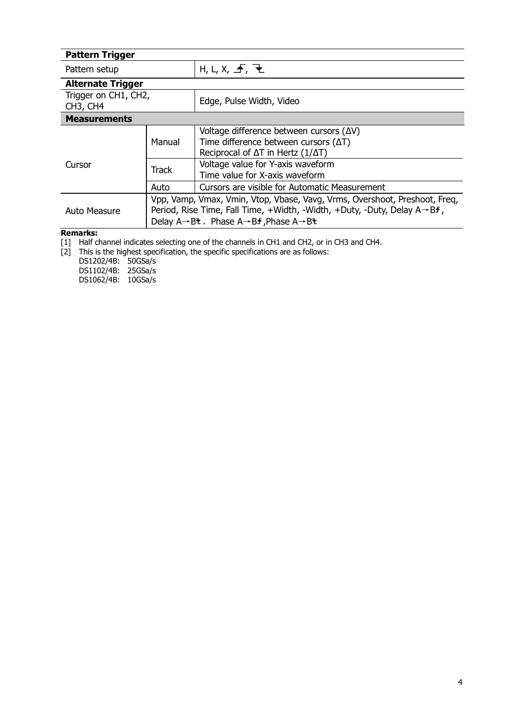| <b>Pattern Trigger</b>                                    |                                                                                                                                                                                                                                                                                        |                                                                                                                                                       |  |  |
|-----------------------------------------------------------|----------------------------------------------------------------------------------------------------------------------------------------------------------------------------------------------------------------------------------------------------------------------------------------|-------------------------------------------------------------------------------------------------------------------------------------------------------|--|--|
| Pattern setup                                             |                                                                                                                                                                                                                                                                                        | H, L, X, F, F                                                                                                                                         |  |  |
| <b>Alternate Trigger</b>                                  |                                                                                                                                                                                                                                                                                        |                                                                                                                                                       |  |  |
| Trigger on CH1, CH2,<br>CH <sub>3</sub> , CH <sub>4</sub> |                                                                                                                                                                                                                                                                                        | Edge, Pulse Width, Video                                                                                                                              |  |  |
| <b>Measurements</b>                                       |                                                                                                                                                                                                                                                                                        |                                                                                                                                                       |  |  |
| Cursor                                                    | Manual                                                                                                                                                                                                                                                                                 | Voltage difference between cursors $(\Delta V)$<br>Time difference between cursors $(\Delta T)$<br>Reciprocal of $\Delta T$ in Hertz ( $1/\Delta T$ ) |  |  |
|                                                           | <b>Track</b>                                                                                                                                                                                                                                                                           | Voltage value for Y-axis waveform<br>Time value for X-axis waveform                                                                                   |  |  |
|                                                           | Auto                                                                                                                                                                                                                                                                                   | Cursors are visible for Automatic Measurement                                                                                                         |  |  |
| Auto Measure                                              | Vpp, Vamp, Vmax, Vmin, Vtop, Vbase, Vavg, Vrms, Overshoot, Preshoot, Freq,<br>Period, Rise Time, Fall Time, +Width, -Width, +Duty, -Duty, Delay $A \rightarrow Bf$ ,<br>Delay $A \rightarrow B$ <sup>t</sup> , Phase $A \rightarrow B$ <b>f</b> , Phase $A \rightarrow B$ <sup>t</sup> |                                                                                                                                                       |  |  |
| <b>Remarks:</b>                                           |                                                                                                                                                                                                                                                                                        |                                                                                                                                                       |  |  |

[1] Half channel indicates selecting one of the channels in CH1 and CH2, or in CH3 and CH4.

[2] This is the highest specification, the specific specifications are as follows:

DS1202/4B: 50GSa/s DS1102/4B: 25GSa/s

DS1062/4B: 10GSa/s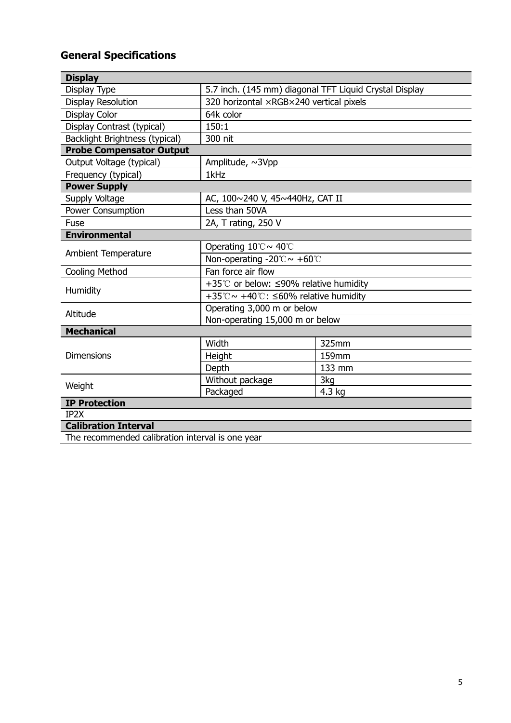# **General Specifications**

| <b>Display</b>                                   |                                                        |        |  |  |
|--------------------------------------------------|--------------------------------------------------------|--------|--|--|
| Display Type                                     | 5.7 inch. (145 mm) diagonal TFT Liquid Crystal Display |        |  |  |
| <b>Display Resolution</b>                        | 320 horizontal ×RGB×240 vertical pixels                |        |  |  |
| <b>Display Color</b>                             | 64k color                                              |        |  |  |
| Display Contrast (typical)                       | 150:1                                                  |        |  |  |
| <b>Backlight Brightness (typical)</b>            | 300 nit                                                |        |  |  |
| <b>Probe Compensator Output</b>                  |                                                        |        |  |  |
| Output Voltage (typical)                         | Amplitude, ~3Vpp                                       |        |  |  |
| Frequency (typical)                              | 1kHz                                                   |        |  |  |
| <b>Power Supply</b>                              |                                                        |        |  |  |
| Supply Voltage                                   | AC, 100~240 V, 45~440Hz, CAT II                        |        |  |  |
| Power Consumption                                | Less than 50VA                                         |        |  |  |
| Fuse                                             | 2A, T rating, 250 V                                    |        |  |  |
| <b>Environmental</b>                             |                                                        |        |  |  |
| <b>Ambient Temperature</b>                       | Operating 10℃~ 40℃                                     |        |  |  |
|                                                  | Non-operating -20 $^{\circ}$ C $\sim$ +60 $^{\circ}$ C |        |  |  |
| Cooling Method                                   | Fan force air flow                                     |        |  |  |
|                                                  | +35℃ or below: ≤90% relative humidity                  |        |  |  |
| Humidity                                         | +35°C ~ +40°C: $\leq 60\%$ relative humidity           |        |  |  |
| Altitude                                         | Operating 3,000 m or below                             |        |  |  |
|                                                  | Non-operating 15,000 m or below                        |        |  |  |
| <b>Mechanical</b>                                |                                                        |        |  |  |
|                                                  | Width                                                  | 325mm  |  |  |
| <b>Dimensions</b>                                | Height                                                 | 159mm  |  |  |
|                                                  | Depth                                                  | 133 mm |  |  |
| Weight                                           | Without package                                        | 3kg    |  |  |
|                                                  | Packaged                                               | 4.3 kg |  |  |
| <b>IP Protection</b>                             |                                                        |        |  |  |
| IP2X                                             |                                                        |        |  |  |
| <b>Calibration Interval</b>                      |                                                        |        |  |  |
| The recommended calibration interval is one year |                                                        |        |  |  |